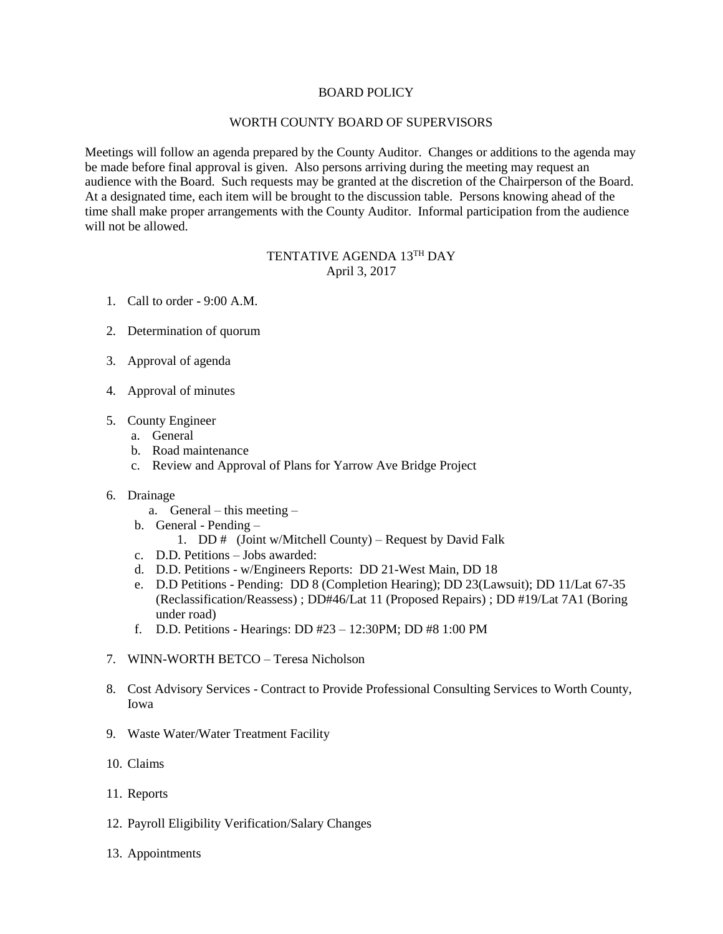## BOARD POLICY

## WORTH COUNTY BOARD OF SUPERVISORS

Meetings will follow an agenda prepared by the County Auditor. Changes or additions to the agenda may be made before final approval is given. Also persons arriving during the meeting may request an audience with the Board. Such requests may be granted at the discretion of the Chairperson of the Board. At a designated time, each item will be brought to the discussion table. Persons knowing ahead of the time shall make proper arrangements with the County Auditor. Informal participation from the audience will not be allowed.

## TENTATIVE AGENDA 13TH DAY April 3, 2017

- 1. Call to order 9:00 A.M.
- 2. Determination of quorum
- 3. Approval of agenda
- 4. Approval of minutes
- 5. County Engineer
	- a. General
	- b. Road maintenance
	- c. Review and Approval of Plans for Yarrow Ave Bridge Project

## 6. Drainage

- a. General this meeting –
- b. General Pending
	- 1. DD # (Joint w/Mitchell County) Request by David Falk
- c. D.D. Petitions Jobs awarded:
- d. D.D. Petitions w/Engineers Reports: DD 21-West Main, DD 18
- e. D.D Petitions Pending: DD 8 (Completion Hearing); DD 23(Lawsuit); DD 11/Lat 67-35 (Reclassification/Reassess) ; DD#46/Lat 11 (Proposed Repairs) ; DD #19/Lat 7A1 (Boring under road)
- f. D.D. Petitions Hearings: DD #23 12:30PM; DD #8 1:00 PM
- 7. WINN-WORTH BETCO Teresa Nicholson
- 8. Cost Advisory Services Contract to Provide Professional Consulting Services to Worth County, Iowa
- 9. Waste Water/Water Treatment Facility
- 10. Claims
- 11. Reports
- 12. Payroll Eligibility Verification/Salary Changes
- 13. Appointments